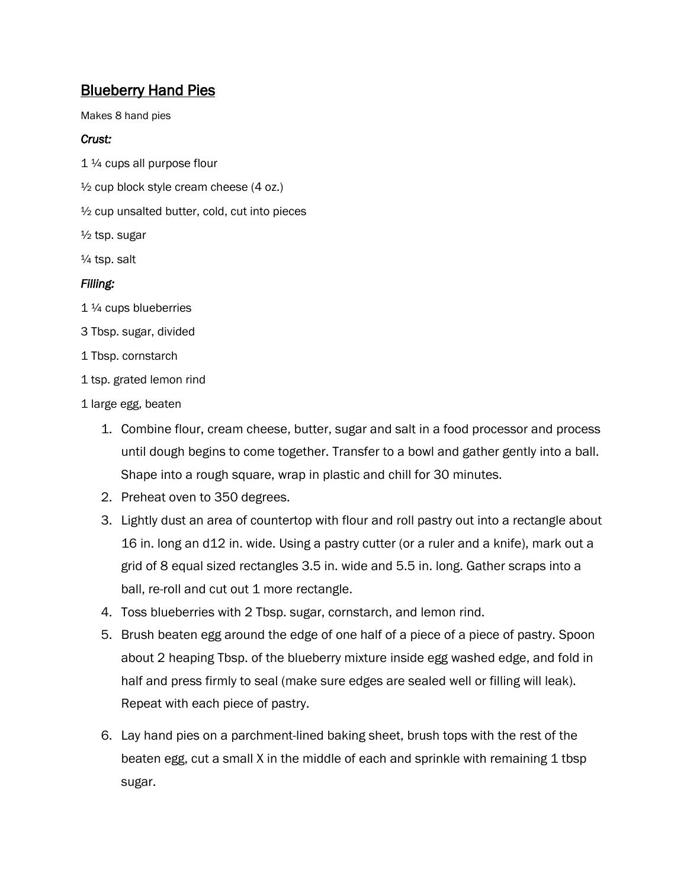## **Blueberry Hand Pies**

Makes 8 hand pies

## *Crust:*

1 ¼ cups all purpose flour

 $\frac{1}{2}$  cup block style cream cheese (4 oz.)

½ cup unsalted butter, cold, cut into pieces

½ tsp. sugar

¼ tsp. salt

## *Filling:*

- 1 ¼ cups blueberries
- 3 Tbsp. sugar, divided
- 1 Tbsp. cornstarch
- 1 tsp. grated lemon rind
- 1 large egg, beaten
	- 1. Combine flour, cream cheese, butter, sugar and salt in a food processor and process until dough begins to come together. Transfer to a bowl and gather gently into a ball. Shape into a rough square, wrap in plastic and chill for 30 minutes.
	- 2. Preheat oven to 350 degrees.
	- 3. Lightly dust an area of countertop with flour and roll pastry out into a rectangle about 16 in. long an d12 in. wide. Using a pastry cutter (or a ruler and a knife), mark out a grid of 8 equal sized rectangles 3.5 in. wide and 5.5 in. long. Gather scraps into a ball, re-roll and cut out 1 more rectangle.
	- 4. Toss blueberries with 2 Tbsp. sugar, cornstarch, and lemon rind.
	- 5. Brush beaten egg around the edge of one half of a piece of a piece of pastry. Spoon about 2 heaping Tbsp. of the blueberry mixture inside egg washed edge, and fold in half and press firmly to seal (make sure edges are sealed well or filling will leak). Repeat with each piece of pastry.
	- 6. Lay hand pies on a parchment-lined baking sheet, brush tops with the rest of the beaten egg, cut a small X in the middle of each and sprinkle with remaining 1 tbsp sugar.